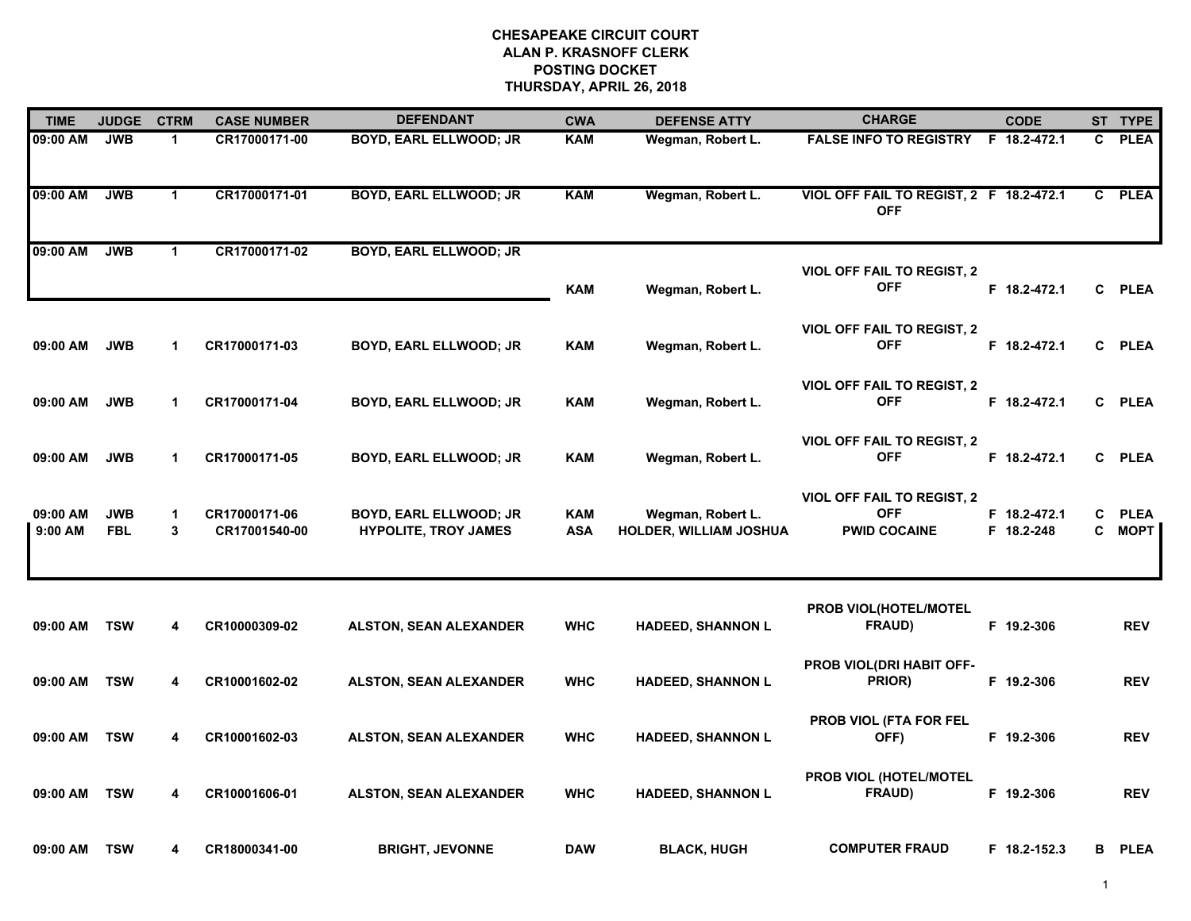| <b>TIME</b>         | <b>JUDGE</b>             | <b>CTRM</b>          | <b>CASE NUMBER</b>             | <b>DEFENDANT</b>                                      | <b>CWA</b>               | <b>DEFENSE ATTY</b>                                | <b>CHARGE</b>                                                          | <b>CODE</b>                |              | ST TYPE                    |
|---------------------|--------------------------|----------------------|--------------------------------|-------------------------------------------------------|--------------------------|----------------------------------------------------|------------------------------------------------------------------------|----------------------------|--------------|----------------------------|
| 09:00 AM            | <b>JWB</b>               | $\mathbf{1}$         | CR17000171-00                  | <b>BOYD, EARL ELLWOOD; JR</b>                         | <b>KAM</b>               | Wegman, Robert L.                                  | FALSE INFO TO REGISTRY F 18.2-472.1                                    |                            | C            | <b>PLEA</b>                |
| 09:00 AM            | <b>JWB</b>               | $\mathbf{1}$         | CR17000171-01                  | <b>BOYD, EARL ELLWOOD; JR</b>                         | <b>KAM</b>               | Wegman, Robert L.                                  | VIOL OFF FAIL TO REGIST, 2 F 18.2-472.1<br><b>OFF</b>                  |                            | $\mathbf{c}$ | <b>PLEA</b>                |
| 09:00 AM            | <b>JWB</b>               | $\blacktriangleleft$ | CR17000171-02                  | <b>BOYD, EARL ELLWOOD; JR</b>                         |                          |                                                    |                                                                        |                            |              |                            |
|                     |                          |                      |                                |                                                       | <b>KAM</b>               | Wegman, Robert L.                                  | <b>VIOL OFF FAIL TO REGIST, 2</b><br><b>OFF</b>                        | F 18.2-472.1               |              | C PLEA                     |
| 09:00 AM            | <b>JWB</b>               | 1                    | CR17000171-03                  | BOYD, EARL ELLWOOD; JR                                | <b>KAM</b>               | Wegman, Robert L.                                  | <b>VIOL OFF FAIL TO REGIST, 2</b><br><b>OFF</b>                        | F 18.2-472.1               | C.           | <b>PLEA</b>                |
| 09:00 AM            | <b>JWB</b>               | 1                    | CR17000171-04                  | BOYD, EARL ELLWOOD; JR                                | <b>KAM</b>               | Wegman, Robert L.                                  | <b>VIOL OFF FAIL TO REGIST, 2</b><br><b>OFF</b>                        | F 18.2-472.1               | $\mathbf{C}$ | <b>PLEA</b>                |
| 09:00 AM            | <b>JWB</b>               | 1                    | CR17000171-05                  | BOYD, EARL ELLWOOD; JR                                | <b>KAM</b>               | Wegman, Robert L.                                  | <b>VIOL OFF FAIL TO REGIST, 2</b><br><b>OFF</b>                        | F 18.2-472.1               | C.           | <b>PLEA</b>                |
| 09:00 AM<br>9:00 AM | <b>JWB</b><br><b>FBL</b> | 1<br>3               | CR17000171-06<br>CR17001540-00 | BOYD, EARL ELLWOOD; JR<br><b>HYPOLITE, TROY JAMES</b> | <b>KAM</b><br><b>ASA</b> | Wegman, Robert L.<br><b>HOLDER, WILLIAM JOSHUA</b> | <b>VIOL OFF FAIL TO REGIST, 2</b><br><b>OFF</b><br><b>PWID COCAINE</b> | F 18.2-472.1<br>F 18.2-248 | C<br>C       | <b>PLEA</b><br><b>MOPT</b> |
| 09:00 AM            | <b>TSW</b>               | 4                    | CR10000309-02                  | <b>ALSTON, SEAN ALEXANDER</b>                         | <b>WHC</b>               | <b>HADEED, SHANNON L</b>                           | PROB VIOL(HOTEL/MOTEL<br><b>FRAUD)</b>                                 | F 19.2-306                 |              | <b>REV</b>                 |
| 09:00 AM            | <b>TSW</b>               | 4                    | CR10001602-02                  | <b>ALSTON, SEAN ALEXANDER</b>                         | <b>WHC</b>               | <b>HADEED, SHANNON L</b>                           | PROB VIOL(DRI HABIT OFF-<br>PRIOR)                                     | F 19.2-306                 |              | <b>REV</b>                 |
| 09:00 AM            | <b>TSW</b>               | 4                    | CR10001602-03                  | <b>ALSTON, SEAN ALEXANDER</b>                         | <b>WHC</b>               | <b>HADEED, SHANNON L</b>                           | <b>PROB VIOL (FTA FOR FEL</b><br>OFF)                                  | F 19.2-306                 |              | <b>REV</b>                 |
| 09:00 AM            | <b>TSW</b>               | 4                    | CR10001606-01                  | ALSTON, SEAN ALEXANDER                                | <b>WHC</b>               | <b>HADEED, SHANNON L</b>                           | PROB VIOL (HOTEL/MOTEL<br>FRAUD)                                       | F 19.2-306                 |              | <b>REV</b>                 |
| 09:00 AM            | <b>TSW</b>               | 4                    | CR18000341-00                  | <b>BRIGHT, JEVONNE</b>                                | <b>DAW</b>               | <b>BLACK, HUGH</b>                                 | <b>COMPUTER FRAUD</b>                                                  | F 18.2-152.3               | В            | <b>PLEA</b>                |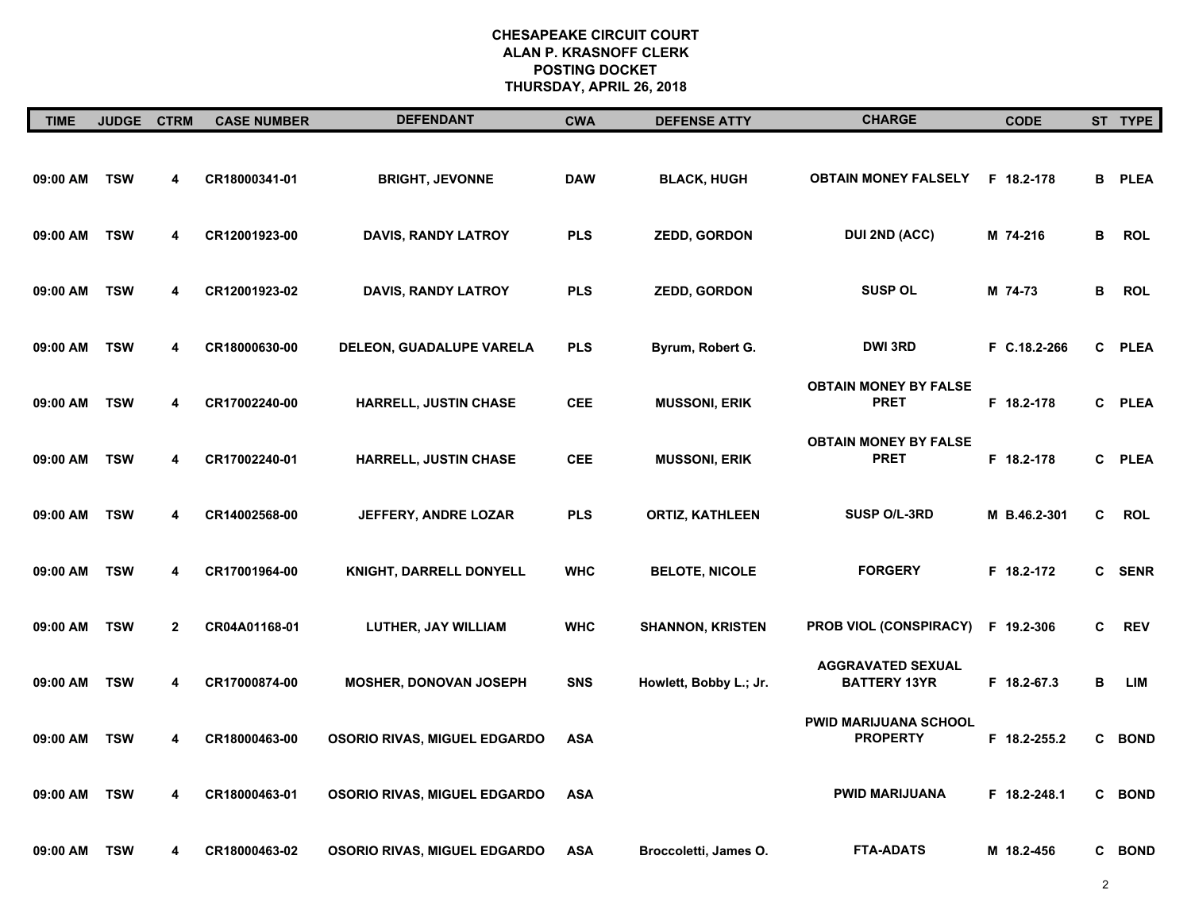| <b>TIME</b> | JUDGE CTRM |              | <b>CASE NUMBER</b> | <b>DEFENDANT</b>                    | <b>CWA</b> | <b>DEFENSE ATTY</b>     | <b>CHARGE</b>                                   | <b>CODE</b>  |   | ST TYPE       |
|-------------|------------|--------------|--------------------|-------------------------------------|------------|-------------------------|-------------------------------------------------|--------------|---|---------------|
| 09:00 AM    | <b>TSW</b> | 4            | CR18000341-01      | <b>BRIGHT, JEVONNE</b>              | <b>DAW</b> | <b>BLACK, HUGH</b>      | <b>OBTAIN MONEY FALSELY</b>                     | F 18.2-178   |   | <b>B</b> PLEA |
| 09:00 AM    | <b>TSW</b> | 4            | CR12001923-00      | <b>DAVIS, RANDY LATROY</b>          | <b>PLS</b> | <b>ZEDD, GORDON</b>     | <b>DUI 2ND (ACC)</b>                            | M 74-216     | B | <b>ROL</b>    |
| 09:00 AM    | <b>TSW</b> | 4            | CR12001923-02      | <b>DAVIS, RANDY LATROY</b>          | <b>PLS</b> | <b>ZEDD, GORDON</b>     | <b>SUSP OL</b>                                  | M 74-73      | в | <b>ROL</b>    |
| 09:00 AM    | <b>TSW</b> | 4            | CR18000630-00      | DELEON, GUADALUPE VARELA            | <b>PLS</b> | Byrum, Robert G.        | <b>DWI 3RD</b>                                  | F C.18.2-266 | C | <b>PLEA</b>   |
| 09:00 AM    | <b>TSW</b> | 4            | CR17002240-00      | HARRELL, JUSTIN CHASE               | <b>CEE</b> | <b>MUSSONI, ERIK</b>    | <b>OBTAIN MONEY BY FALSE</b><br><b>PRET</b>     | F 18.2-178   |   | C PLEA        |
| 09:00 AM    | <b>TSW</b> | 4            | CR17002240-01      | <b>HARRELL, JUSTIN CHASE</b>        | <b>CEE</b> | <b>MUSSONI, ERIK</b>    | <b>OBTAIN MONEY BY FALSE</b><br><b>PRET</b>     | F 18.2-178   | C | <b>PLEA</b>   |
| 09:00 AM    | <b>TSW</b> | 4            | CR14002568-00      | JEFFERY, ANDRE LOZAR                | <b>PLS</b> | <b>ORTIZ, KATHLEEN</b>  | SUSP O/L-3RD                                    | M B.46.2-301 | C | <b>ROL</b>    |
| 09:00 AM    | <b>TSW</b> | 4            | CR17001964-00      | KNIGHT, DARRELL DONYELL             | <b>WHC</b> | <b>BELOTE, NICOLE</b>   | <b>FORGERY</b>                                  | F 18.2-172   |   | C SENR        |
| 09:00 AM    | <b>TSW</b> | $\mathbf{2}$ | CR04A01168-01      | <b>LUTHER, JAY WILLIAM</b>          | <b>WHC</b> | <b>SHANNON, KRISTEN</b> | PROB VIOL (CONSPIRACY)                          | F 19.2-306   | C | <b>REV</b>    |
| 09:00 AM    | <b>TSW</b> | 4            | CR17000874-00      | <b>MOSHER, DONOVAN JOSEPH</b>       | <b>SNS</b> | Howlett, Bobby L.; Jr.  | <b>AGGRAVATED SEXUAL</b><br><b>BATTERY 13YR</b> | F 18.2-67.3  | В | <b>LIM</b>    |
| 09:00 AM    | <b>TSW</b> | 4            | CR18000463-00      | OSORIO RIVAS, MIGUEL EDGARDO        | <b>ASA</b> |                         | <b>PWID MARIJUANA SCHOOL</b><br><b>PROPERTY</b> | F 18.2-255.2 |   | C BOND        |
| 09:00 AM    | <b>TSW</b> | 4            | CR18000463-01      | <b>OSORIO RIVAS, MIGUEL EDGARDO</b> | <b>ASA</b> |                         | <b>PWID MARIJUANA</b>                           | F 18.2-248.1 |   | C BOND        |
| 09:00 AM    | <b>TSW</b> | 4            | CR18000463-02      | <b>OSORIO RIVAS, MIGUEL EDGARDO</b> | <b>ASA</b> | Broccoletti, James O.   | <b>FTA-ADATS</b>                                | M 18.2-456   |   | C BOND        |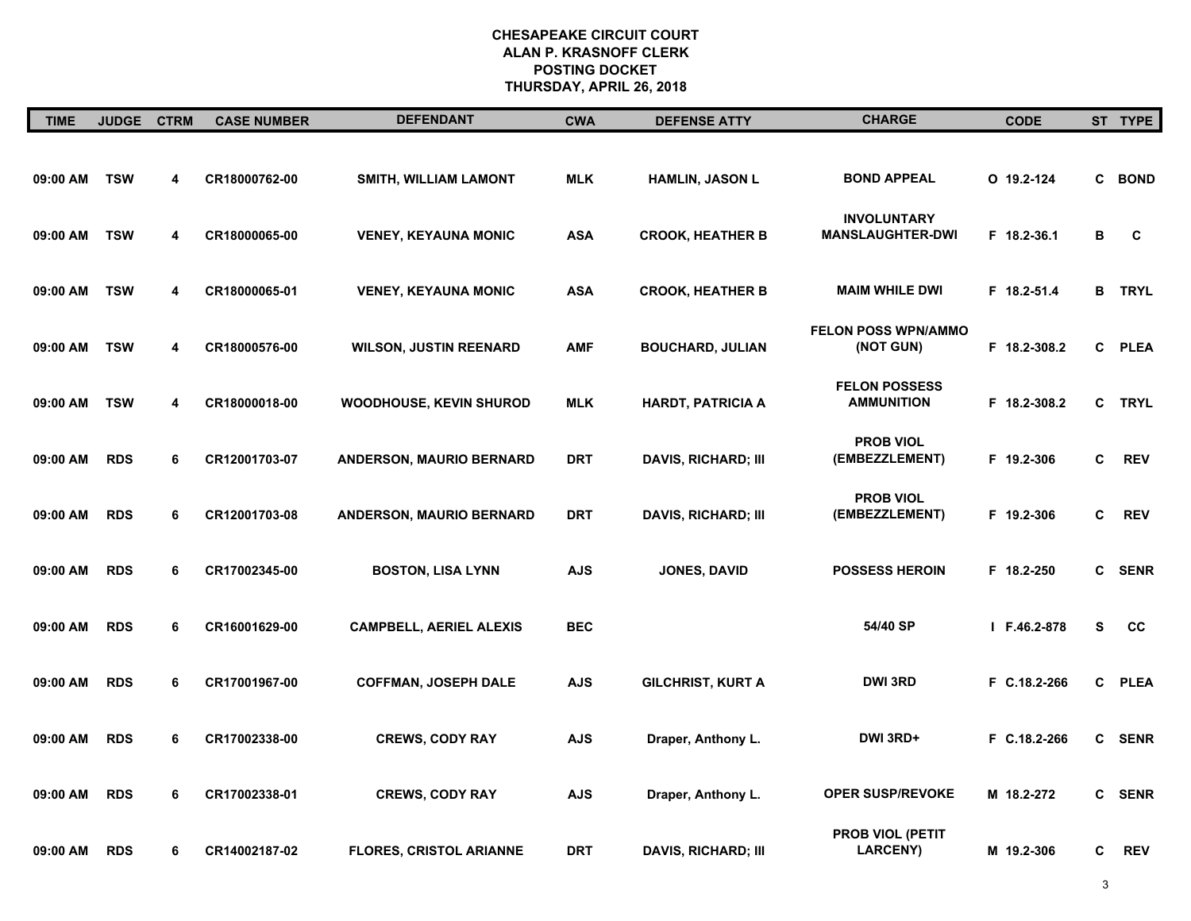| <b>TIME</b> | <b>JUDGE</b> | <b>CTRM</b> | <b>CASE NUMBER</b> | <b>DEFENDANT</b>                | <b>CWA</b> | <b>DEFENSE ATTY</b>        | <b>CHARGE</b>                                 | <b>CODE</b>  |   | ST TYPE       |
|-------------|--------------|-------------|--------------------|---------------------------------|------------|----------------------------|-----------------------------------------------|--------------|---|---------------|
| 09:00 AM    | <b>TSW</b>   | 4           | CR18000762-00      | SMITH, WILLIAM LAMONT           | <b>MLK</b> | HAMLIN, JASON L            | <b>BOND APPEAL</b>                            | $0$ 19.2-124 |   | C BOND        |
| 09:00 AM    | <b>TSW</b>   | 4           | CR18000065-00      | <b>VENEY, KEYAUNA MONIC</b>     | <b>ASA</b> | <b>CROOK, HEATHER B</b>    | <b>INVOLUNTARY</b><br><b>MANSLAUGHTER-DWI</b> | F 18.2-36.1  | в | C             |
| 09:00 AM    | <b>TSW</b>   | 4           | CR18000065-01      | <b>VENEY, KEYAUNA MONIC</b>     | <b>ASA</b> | <b>CROOK, HEATHER B</b>    | <b>MAIM WHILE DWI</b>                         | F 18.2-51.4  |   | <b>B</b> TRYL |
| 09:00 AM    | <b>TSW</b>   | 4           | CR18000576-00      | <b>WILSON, JUSTIN REENARD</b>   | <b>AMF</b> | <b>BOUCHARD, JULIAN</b>    | <b>FELON POSS WPN/AMMO</b><br>(NOT GUN)       | F 18.2-308.2 |   | C PLEA        |
| 09:00 AM    | <b>TSW</b>   | 4           | CR18000018-00      | WOODHOUSE, KEVIN SHUROD         | <b>MLK</b> | <b>HARDT, PATRICIA A</b>   | <b>FELON POSSESS</b><br><b>AMMUNITION</b>     | F 18.2-308.2 |   | C TRYL        |
| 09:00 AM    | <b>RDS</b>   | 6           | CR12001703-07      | <b>ANDERSON, MAURIO BERNARD</b> | <b>DRT</b> | <b>DAVIS, RICHARD; III</b> | <b>PROB VIOL</b><br>(EMBEZZLEMENT)            | F 19.2-306   | C | <b>REV</b>    |
| 09:00 AM    | <b>RDS</b>   | 6           | CR12001703-08      | <b>ANDERSON, MAURIO BERNARD</b> | <b>DRT</b> | <b>DAVIS, RICHARD; III</b> | <b>PROB VIOL</b><br>(EMBEZZLEMENT)            | F 19.2-306   | C | <b>REV</b>    |
| 09:00 AM    | <b>RDS</b>   | 6           | CR17002345-00      | <b>BOSTON, LISA LYNN</b>        | <b>AJS</b> | <b>JONES, DAVID</b>        | <b>POSSESS HEROIN</b>                         | F 18.2-250   | C | <b>SENR</b>   |
| 09:00 AM    | <b>RDS</b>   | 6           | CR16001629-00      | <b>CAMPBELL, AERIEL ALEXIS</b>  | <b>BEC</b> |                            | 54/40 SP                                      | I F.46.2-878 | s | cc            |
| 09:00 AM    | <b>RDS</b>   | 6           | CR17001967-00      | <b>COFFMAN, JOSEPH DALE</b>     | <b>AJS</b> | <b>GILCHRIST, KURT A</b>   | <b>DWI 3RD</b>                                | F C.18.2-266 | C | <b>PLEA</b>   |
| 09:00 AM    | <b>RDS</b>   | 6           | CR17002338-00      | <b>CREWS, CODY RAY</b>          | <b>AJS</b> | Draper, Anthony L.         | DWI 3RD+                                      | F C.18.2-266 | C | <b>SENR</b>   |
| 09:00 AM    | <b>RDS</b>   | 6           | CR17002338-01      | <b>CREWS, CODY RAY</b>          | <b>AJS</b> | Draper, Anthony L.         | <b>OPER SUSP/REVOKE</b>                       | M 18.2-272   | C | <b>SENR</b>   |
| 09:00 AM    | <b>RDS</b>   | 6           | CR14002187-02      | <b>FLORES, CRISTOL ARIANNE</b>  | <b>DRT</b> | <b>DAVIS, RICHARD; III</b> | PROB VIOL (PETIT<br><b>LARCENY</b> )          | M 19.2-306   | C | <b>REV</b>    |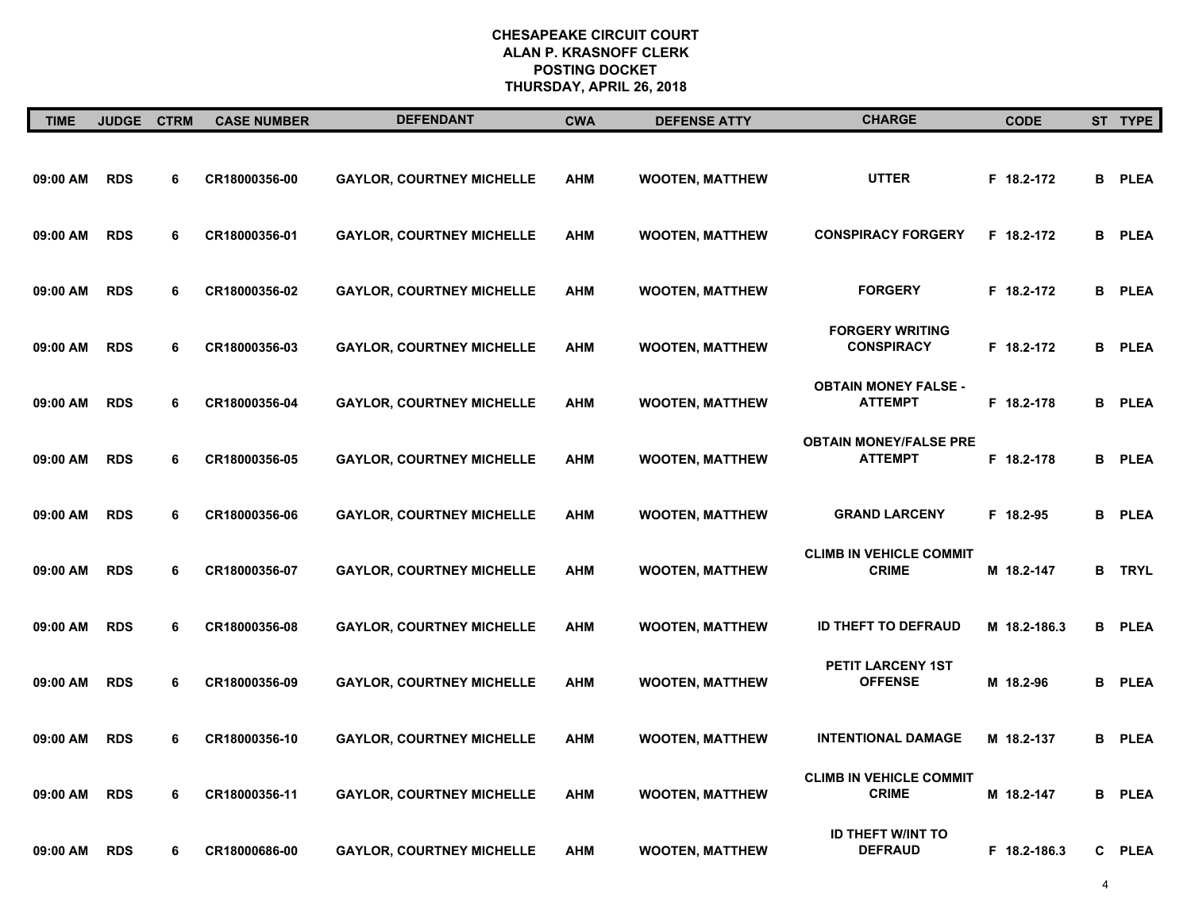| <b>TIME</b> | JUDGE CTRM |   | <b>CASE NUMBER</b> | <b>DEFENDANT</b>                 | <b>CWA</b> | <b>DEFENSE ATTY</b>    | <b>CHARGE</b>                                   | <b>CODE</b>  | ST TYPE       |
|-------------|------------|---|--------------------|----------------------------------|------------|------------------------|-------------------------------------------------|--------------|---------------|
| 09:00 AM    | <b>RDS</b> | 6 | CR18000356-00      | <b>GAYLOR, COURTNEY MICHELLE</b> | <b>AHM</b> | <b>WOOTEN, MATTHEW</b> | <b>UTTER</b>                                    | F 18.2-172   | <b>B</b> PLEA |
| 09:00 AM    | <b>RDS</b> | 6 | CR18000356-01      | <b>GAYLOR, COURTNEY MICHELLE</b> | <b>AHM</b> | <b>WOOTEN, MATTHEW</b> | <b>CONSPIRACY FORGERY</b>                       | F 18.2-172   | <b>B</b> PLEA |
| 09:00 AM    | <b>RDS</b> | 6 | CR18000356-02      | <b>GAYLOR, COURTNEY MICHELLE</b> | <b>AHM</b> | <b>WOOTEN, MATTHEW</b> | <b>FORGERY</b>                                  | F 18.2-172   | <b>B</b> PLEA |
| 09:00 AM    | <b>RDS</b> | 6 | CR18000356-03      | <b>GAYLOR, COURTNEY MICHELLE</b> | <b>AHM</b> | <b>WOOTEN, MATTHEW</b> | <b>FORGERY WRITING</b><br><b>CONSPIRACY</b>     | F 18.2-172   | <b>B</b> PLEA |
| 09:00 AM    | <b>RDS</b> | 6 | CR18000356-04      | <b>GAYLOR, COURTNEY MICHELLE</b> | <b>AHM</b> | <b>WOOTEN, MATTHEW</b> | <b>OBTAIN MONEY FALSE -</b><br><b>ATTEMPT</b>   | F 18.2-178   | <b>B</b> PLEA |
| 09:00 AM    | <b>RDS</b> | 6 | CR18000356-05      | <b>GAYLOR, COURTNEY MICHELLE</b> | <b>AHM</b> | <b>WOOTEN, MATTHEW</b> | <b>OBTAIN MONEY/FALSE PRE</b><br><b>ATTEMPT</b> | F 18.2-178   | <b>B</b> PLEA |
| 09:00 AM    | <b>RDS</b> | 6 | CR18000356-06      | <b>GAYLOR, COURTNEY MICHELLE</b> | <b>AHM</b> | <b>WOOTEN, MATTHEW</b> | <b>GRAND LARCENY</b>                            | F 18.2-95    | <b>B</b> PLEA |
| 09:00 AM    | <b>RDS</b> | 6 | CR18000356-07      | <b>GAYLOR, COURTNEY MICHELLE</b> | <b>AHM</b> | <b>WOOTEN, MATTHEW</b> | <b>CLIMB IN VEHICLE COMMIT</b><br><b>CRIME</b>  | M 18.2-147   | <b>B</b> TRYL |
| 09:00 AM    | <b>RDS</b> | 6 | CR18000356-08      | <b>GAYLOR, COURTNEY MICHELLE</b> | <b>AHM</b> | <b>WOOTEN, MATTHEW</b> | ID THEFT TO DEFRAUD                             | M 18.2-186.3 | <b>B</b> PLEA |
| 09:00 AM    | <b>RDS</b> | 6 | CR18000356-09      | <b>GAYLOR, COURTNEY MICHELLE</b> | <b>AHM</b> | <b>WOOTEN, MATTHEW</b> | <b>PETIT LARCENY 1ST</b><br><b>OFFENSE</b>      | M 18.2-96    | <b>B</b> PLEA |
| 09:00 AM    | <b>RDS</b> | 6 | CR18000356-10      | <b>GAYLOR, COURTNEY MICHELLE</b> | <b>AHM</b> | <b>WOOTEN, MATTHEW</b> | <b>INTENTIONAL DAMAGE</b>                       | M 18.2-137   | <b>B</b> PLEA |
| 09:00 AM    | <b>RDS</b> | 6 | CR18000356-11      | <b>GAYLOR, COURTNEY MICHELLE</b> | <b>AHM</b> | <b>WOOTEN, MATTHEW</b> | <b>CLIMB IN VEHICLE COMMIT</b><br><b>CRIME</b>  | M 18.2-147   | <b>B</b> PLEA |
| 09:00 AM    | <b>RDS</b> | 6 | CR18000686-00      | <b>GAYLOR, COURTNEY MICHELLE</b> | <b>AHM</b> | <b>WOOTEN, MATTHEW</b> | <b>ID THEFT W/INT TO</b><br><b>DEFRAUD</b>      | F 18.2-186.3 | C PLEA        |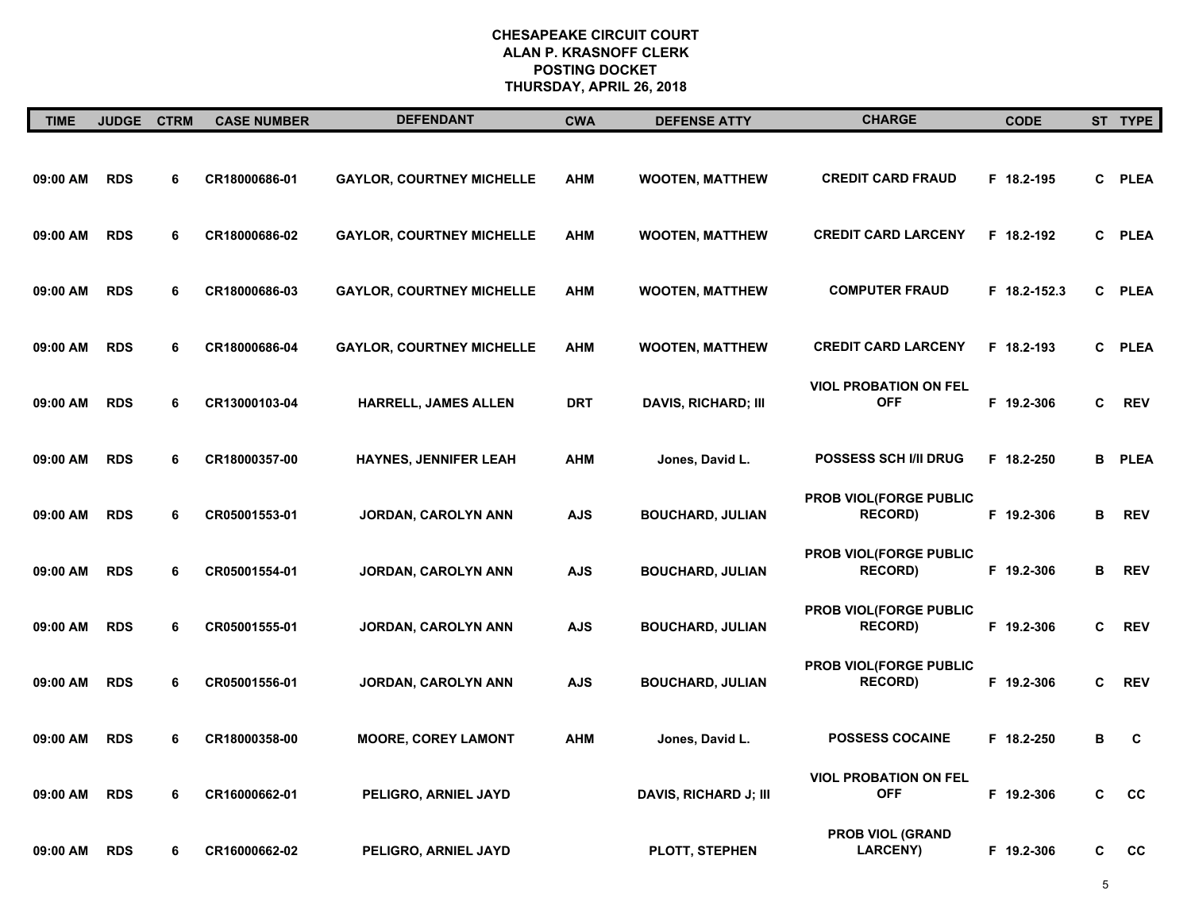| <b>TIME</b> | <b>JUDGE</b> | <b>CTRM</b> | <b>CASE NUMBER</b> | <b>DEFENDANT</b>                 | <b>CWA</b> | <b>DEFENSE ATTY</b>          | <b>CHARGE</b>                              | <b>CODE</b>  |    | ST TYPE     |
|-------------|--------------|-------------|--------------------|----------------------------------|------------|------------------------------|--------------------------------------------|--------------|----|-------------|
| 09:00 AM    | <b>RDS</b>   | 6           | CR18000686-01      | <b>GAYLOR, COURTNEY MICHELLE</b> | <b>AHM</b> | <b>WOOTEN, MATTHEW</b>       | <b>CREDIT CARD FRAUD</b>                   | F 18.2-195   |    | C PLEA      |
| 09:00 AM    | <b>RDS</b>   | 6           | CR18000686-02      | <b>GAYLOR, COURTNEY MICHELLE</b> | <b>AHM</b> | <b>WOOTEN, MATTHEW</b>       | <b>CREDIT CARD LARCENY</b>                 | F 18.2-192   | C. | <b>PLEA</b> |
| 09:00 AM    | <b>RDS</b>   | 6           | CR18000686-03      | <b>GAYLOR, COURTNEY MICHELLE</b> | <b>AHM</b> | <b>WOOTEN, MATTHEW</b>       | <b>COMPUTER FRAUD</b>                      | F 18.2-152.3 |    | C PLEA      |
| 09:00 AM    | <b>RDS</b>   | 6           | CR18000686-04      | <b>GAYLOR, COURTNEY MICHELLE</b> | <b>AHM</b> | <b>WOOTEN, MATTHEW</b>       | <b>CREDIT CARD LARCENY</b>                 | F 18.2-193   | C  | <b>PLEA</b> |
| 09:00 AM    | <b>RDS</b>   | 6           | CR13000103-04      | <b>HARRELL, JAMES ALLEN</b>      | DRT        | <b>DAVIS, RICHARD; III</b>   | <b>VIOL PROBATION ON FEL</b><br><b>OFF</b> | F 19.2-306   | C  | <b>REV</b>  |
| 09:00 AM    | <b>RDS</b>   | 6           | CR18000357-00      | HAYNES, JENNIFER LEAH            | <b>AHM</b> | Jones, David L.              | <b>POSSESS SCH I/II DRUG</b>               | F 18.2-250   | в  | <b>PLEA</b> |
| 09:00 AM    | <b>RDS</b>   | 6           | CR05001553-01      | JORDAN, CAROLYN ANN              | <b>AJS</b> | <b>BOUCHARD, JULIAN</b>      | PROB VIOL(FORGE PUBLIC<br><b>RECORD</b> )  | F 19.2-306   | в  | <b>REV</b>  |
| 09:00 AM    | <b>RDS</b>   | 6           | CR05001554-01      | <b>JORDAN, CAROLYN ANN</b>       | <b>AJS</b> | <b>BOUCHARD, JULIAN</b>      | PROB VIOL(FORGE PUBLIC<br><b>RECORD)</b>   | F 19.2-306   | B  | <b>REV</b>  |
| 09:00 AM    | <b>RDS</b>   | 6           | CR05001555-01      | JORDAN, CAROLYN ANN              | <b>AJS</b> | <b>BOUCHARD, JULIAN</b>      | PROB VIOL(FORGE PUBLIC<br><b>RECORD)</b>   | F 19.2-306   | C  | <b>REV</b>  |
| 09:00 AM    | <b>RDS</b>   | 6           | CR05001556-01      | <b>JORDAN, CAROLYN ANN</b>       | <b>AJS</b> | <b>BOUCHARD, JULIAN</b>      | PROB VIOL(FORGE PUBLIC<br><b>RECORD)</b>   | F 19.2-306   | C  | <b>REV</b>  |
| 09:00 AM    | <b>RDS</b>   | 6           | CR18000358-00      | <b>MOORE, COREY LAMONT</b>       | <b>AHM</b> | Jones, David L.              | <b>POSSESS COCAINE</b>                     | F 18.2-250   | в  | C           |
| 09:00 AM    | <b>RDS</b>   | 6           | CR16000662-01      | PELIGRO, ARNIEL JAYD             |            | <b>DAVIS, RICHARD J; III</b> | <b>VIOL PROBATION ON FEL</b><br><b>OFF</b> | F 19.2-306   | C  | cc          |
| 09:00 AM    | <b>RDS</b>   | 6           | CR16000662-02      | PELIGRO, ARNIEL JAYD             |            | <b>PLOTT, STEPHEN</b>        | <b>PROB VIOL (GRAND</b><br><b>LARCENY)</b> | F 19.2-306   | C  | cc          |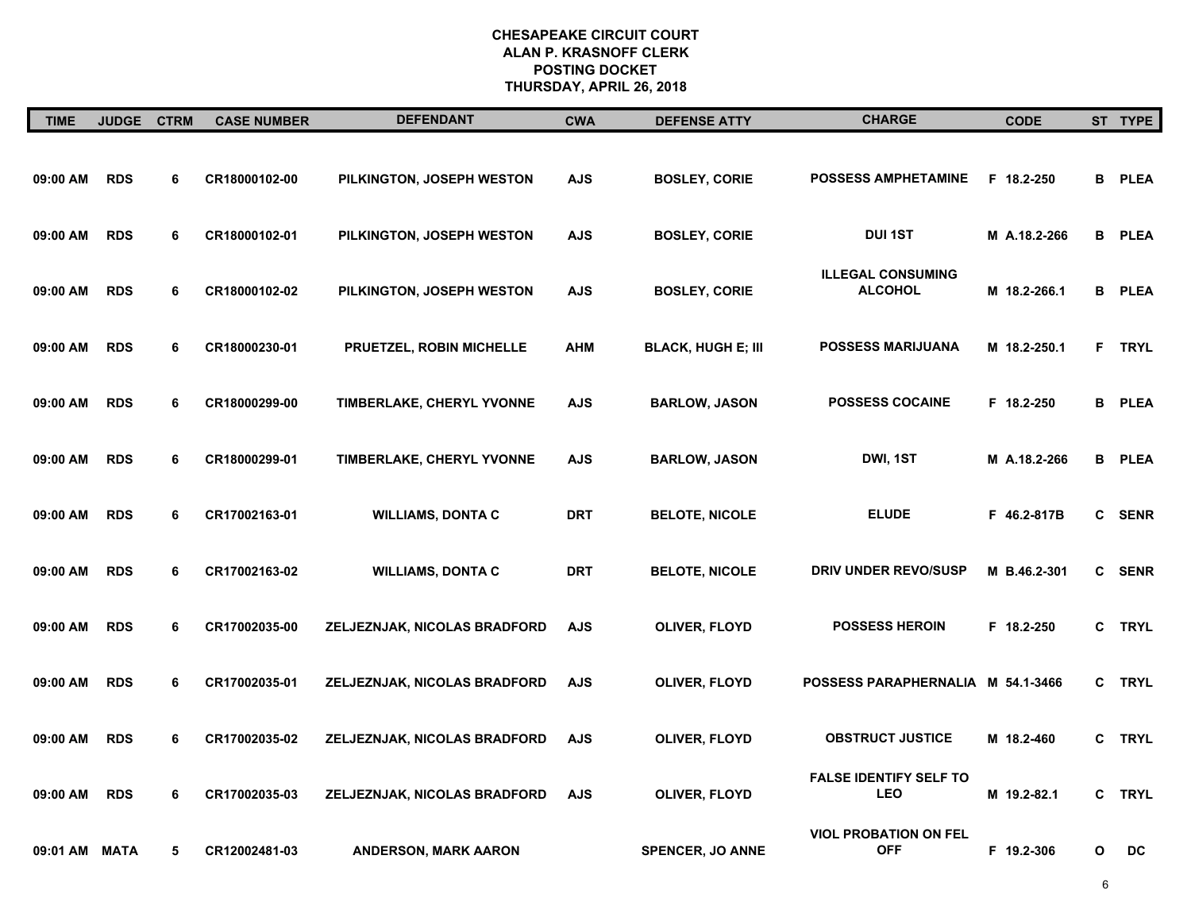| <b>TIME</b>   | JUDGE CTRM |   | <b>CASE NUMBER</b> | <b>DEFENDANT</b>                 | <b>CWA</b> | <b>DEFENSE ATTY</b>       | <b>CHARGE</b>                               | <b>CODE</b>  |    | ST TYPE       |
|---------------|------------|---|--------------------|----------------------------------|------------|---------------------------|---------------------------------------------|--------------|----|---------------|
| 09:00 AM      | <b>RDS</b> | 6 | CR18000102-00      | PILKINGTON, JOSEPH WESTON        | <b>AJS</b> | <b>BOSLEY, CORIE</b>      | <b>POSSESS AMPHETAMINE</b>                  | F 18.2-250   |    | <b>B</b> PLEA |
| 09:00 AM      | <b>RDS</b> | 6 | CR18000102-01      | PILKINGTON, JOSEPH WESTON        | <b>AJS</b> | <b>BOSLEY, CORIE</b>      | <b>DUI 1ST</b>                              | M A.18.2-266 |    | <b>B</b> PLEA |
| 09:00 AM      | <b>RDS</b> | 6 | CR18000102-02      | PILKINGTON, JOSEPH WESTON        | <b>AJS</b> | <b>BOSLEY, CORIE</b>      | <b>ILLEGAL CONSUMING</b><br><b>ALCOHOL</b>  | M 18.2-266.1 |    | <b>B</b> PLEA |
| 09:00 AM      | <b>RDS</b> | 6 | CR18000230-01      | PRUETZEL, ROBIN MICHELLE         | <b>AHM</b> | <b>BLACK, HUGH E; III</b> | POSSESS MARIJUANA                           | M 18.2-250.1 | F. | <b>TRYL</b>   |
| 09:00 AM      | <b>RDS</b> | 6 | CR18000299-00      | TIMBERLAKE, CHERYL YVONNE        | <b>AJS</b> | <b>BARLOW, JASON</b>      | <b>POSSESS COCAINE</b>                      | F 18.2-250   |    | <b>B</b> PLEA |
| 09:00 AM      | <b>RDS</b> | 6 | CR18000299-01      | <b>TIMBERLAKE, CHERYL YVONNE</b> | <b>AJS</b> | <b>BARLOW, JASON</b>      | DWI, 1ST                                    | M A.18.2-266 |    | <b>B</b> PLEA |
| 09:00 AM      | <b>RDS</b> | 6 | CR17002163-01      | <b>WILLIAMS, DONTA C</b>         | <b>DRT</b> | <b>BELOTE, NICOLE</b>     | <b>ELUDE</b>                                | F 46.2-817B  |    | C SENR        |
| 09:00 AM      | <b>RDS</b> | 6 | CR17002163-02      | <b>WILLIAMS, DONTA C</b>         | <b>DRT</b> | <b>BELOTE, NICOLE</b>     | <b>DRIV UNDER REVO/SUSP</b>                 | M B.46.2-301 |    | C SENR        |
| 09:00 AM      | <b>RDS</b> | 6 | CR17002035-00      | ZELJEZNJAK, NICOLAS BRADFORD     | <b>AJS</b> | OLIVER, FLOYD             | <b>POSSESS HEROIN</b>                       | F 18.2-250   |    | C TRYL        |
| 09:00 AM      | <b>RDS</b> | 6 | CR17002035-01      | ZELJEZNJAK, NICOLAS BRADFORD     | <b>AJS</b> | <b>OLIVER, FLOYD</b>      | POSSESS PARAPHERNALIA M 54.1-3466           |              | C  | <b>TRYL</b>   |
| 09:00 AM      | <b>RDS</b> | 6 | CR17002035-02      | ZELJEZNJAK, NICOLAS BRADFORD     | <b>AJS</b> | OLIVER, FLOYD             | <b>OBSTRUCT JUSTICE</b>                     | M 18.2-460   | C  | <b>TRYL</b>   |
| 09:00 AM      | <b>RDS</b> | 6 | CR17002035-03      | ZELJEZNJAK, NICOLAS BRADFORD     | <b>AJS</b> | <b>OLIVER, FLOYD</b>      | <b>FALSE IDENTIFY SELF TO</b><br><b>LEO</b> | M 19.2-82.1  | C  | <b>TRYL</b>   |
| 09:01 AM MATA |            | 5 | CR12002481-03      | <b>ANDERSON, MARK AARON</b>      |            | <b>SPENCER, JO ANNE</b>   | <b>VIOL PROBATION ON FEL</b><br><b>OFF</b>  | F 19.2-306   | O  | DC            |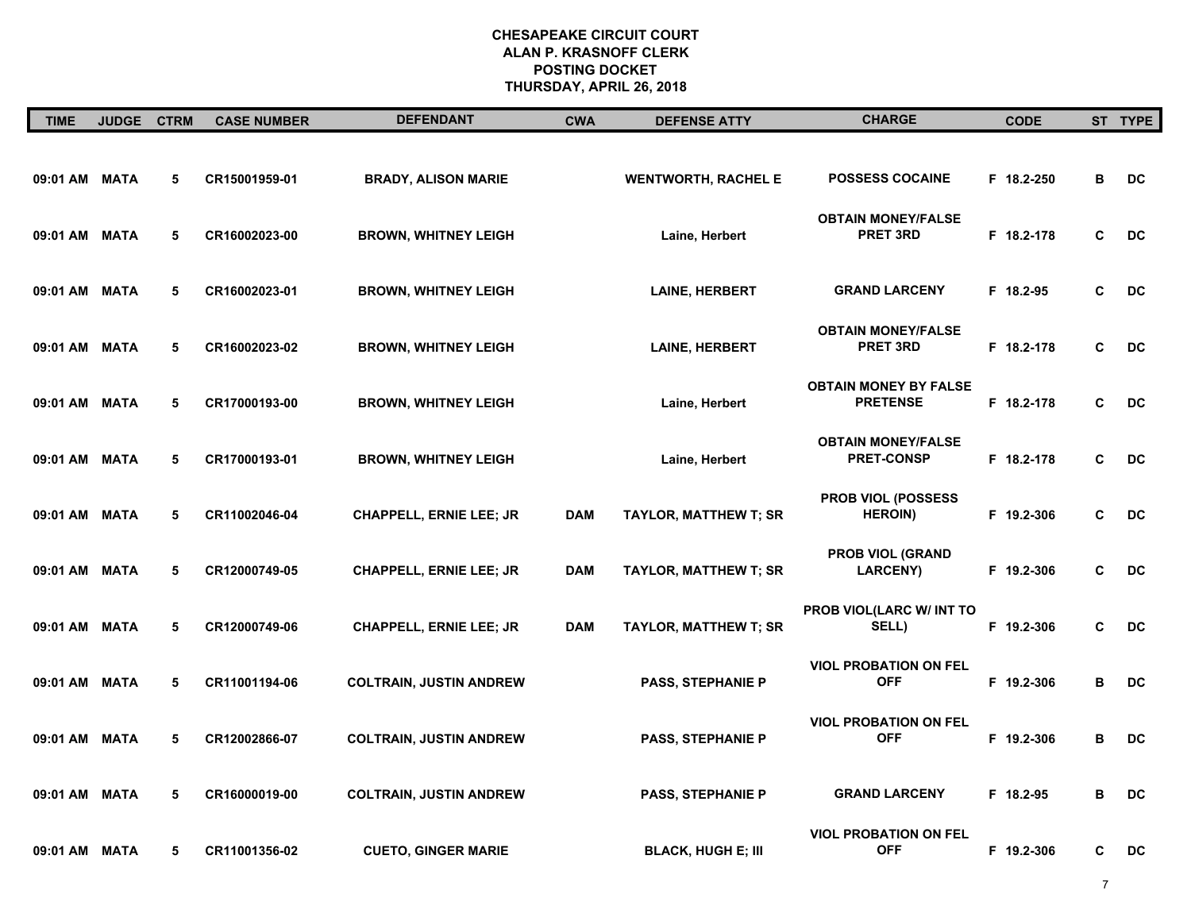| <b>TIME</b>   | JUDGE CTRM |   | <b>CASE NUMBER</b> | <b>DEFENDANT</b>               | <b>CWA</b> | <b>DEFENSE ATTY</b>          | <b>CHARGE</b>                                   | <b>CODE</b> |   | ST TYPE   |
|---------------|------------|---|--------------------|--------------------------------|------------|------------------------------|-------------------------------------------------|-------------|---|-----------|
| 09:01 AM MATA |            | 5 | CR15001959-01      | <b>BRADY, ALISON MARIE</b>     |            | <b>WENTWORTH, RACHEL E</b>   | <b>POSSESS COCAINE</b>                          | F 18.2-250  | в | DC        |
| 09:01 AM      | MATA       | 5 | CR16002023-00      | <b>BROWN, WHITNEY LEIGH</b>    |            | Laine, Herbert               | <b>OBTAIN MONEY/FALSE</b><br><b>PRET 3RD</b>    | F 18.2-178  | C | <b>DC</b> |
| 09:01 AM MATA |            | 5 | CR16002023-01      | <b>BROWN, WHITNEY LEIGH</b>    |            | <b>LAINE, HERBERT</b>        | <b>GRAND LARCENY</b>                            | F 18.2-95   | C | DC        |
| 09:01 AM MATA |            | 5 | CR16002023-02      | <b>BROWN, WHITNEY LEIGH</b>    |            | <b>LAINE, HERBERT</b>        | <b>OBTAIN MONEY/FALSE</b><br><b>PRET 3RD</b>    | F 18.2-178  | C | DC        |
| 09:01 AM MATA |            | 5 | CR17000193-00      | <b>BROWN, WHITNEY LEIGH</b>    |            | Laine, Herbert               | <b>OBTAIN MONEY BY FALSE</b><br><b>PRETENSE</b> | F 18.2-178  | C | <b>DC</b> |
| 09:01 AM MATA |            | 5 | CR17000193-01      | <b>BROWN, WHITNEY LEIGH</b>    |            | Laine, Herbert               | <b>OBTAIN MONEY/FALSE</b><br><b>PRET-CONSP</b>  | F 18.2-178  | C | DC        |
| 09:01 AM MATA |            | 5 | CR11002046-04      | <b>CHAPPELL, ERNIE LEE; JR</b> | <b>DAM</b> | <b>TAYLOR, MATTHEW T; SR</b> | PROB VIOL (POSSESS<br><b>HEROIN</b> )           | F 19.2-306  | C | DC        |
| 09:01 AM MATA |            | 5 | CR12000749-05      | <b>CHAPPELL, ERNIE LEE; JR</b> | <b>DAM</b> | <b>TAYLOR, MATTHEW T; SR</b> | <b>PROB VIOL (GRAND</b><br><b>LARCENY)</b>      | F 19.2-306  | C | <b>DC</b> |
| 09:01 AM MATA |            | 5 | CR12000749-06      | <b>CHAPPELL, ERNIE LEE; JR</b> | <b>DAM</b> | <b>TAYLOR, MATTHEW T; SR</b> | PROB VIOL(LARC W/ INT TO<br>SELL)               | F 19.2-306  | C | DC        |
| 09:01 AM MATA |            | 5 | CR11001194-06      | <b>COLTRAIN, JUSTIN ANDREW</b> |            | <b>PASS, STEPHANIE P</b>     | <b>VIOL PROBATION ON FEL</b><br><b>OFF</b>      | F 19.2-306  | в | DC        |
| 09:01 AM MATA |            | 5 | CR12002866-07      | <b>COLTRAIN, JUSTIN ANDREW</b> |            | <b>PASS, STEPHANIE P</b>     | <b>VIOL PROBATION ON FEL</b><br><b>OFF</b>      | F 19.2-306  | в | <b>DC</b> |
| 09:01 AM MATA |            | 5 | CR16000019-00      | <b>COLTRAIN, JUSTIN ANDREW</b> |            | <b>PASS, STEPHANIE P</b>     | <b>GRAND LARCENY</b>                            | F 18.2-95   | в | <b>DC</b> |
| 09:01 AM MATA |            | 5 | CR11001356-02      | <b>CUETO, GINGER MARIE</b>     |            | <b>BLACK, HUGH E; III</b>    | <b>VIOL PROBATION ON FEL</b><br><b>OFF</b>      | F 19.2-306  | C | DC        |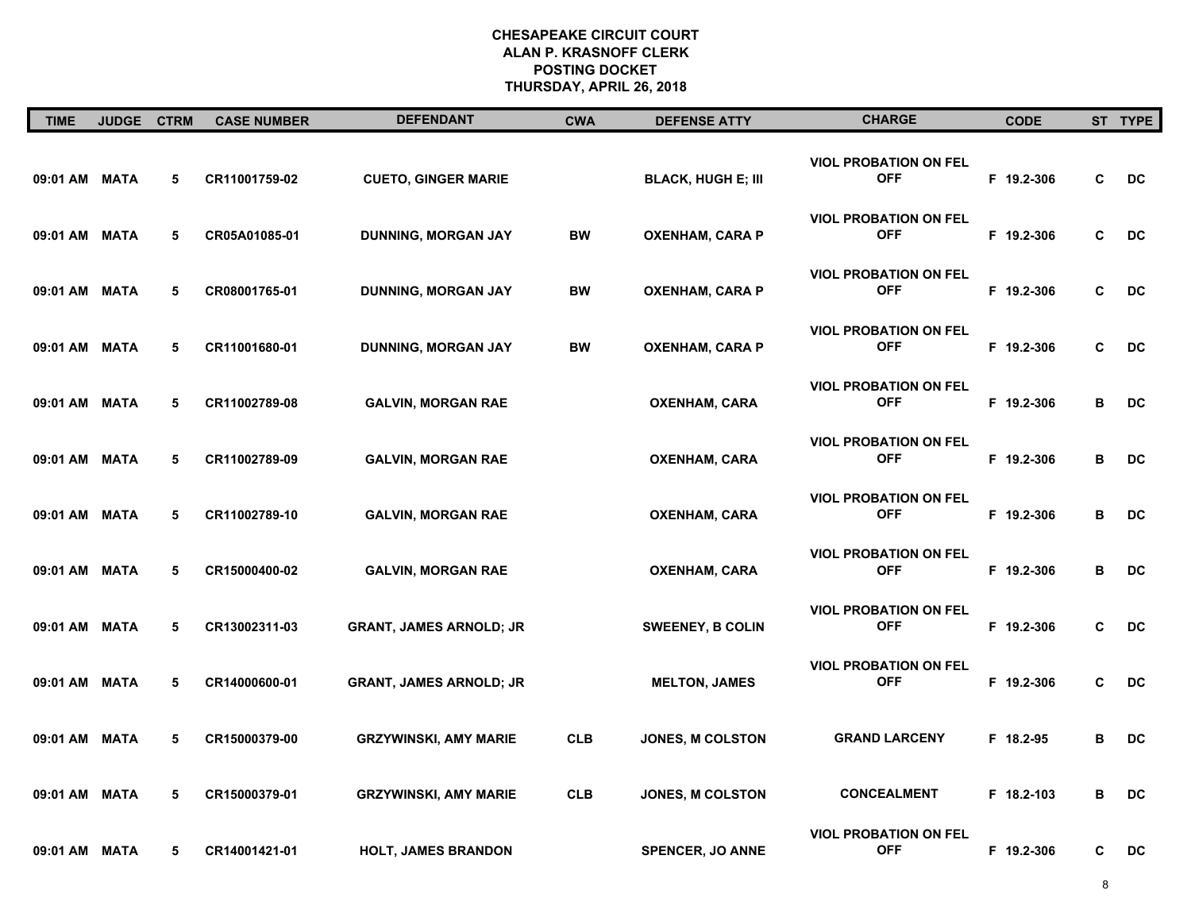| <b>TIME</b>   | JUDGE CTRM |   | <b>CASE NUMBER</b> | <b>DEFENDANT</b>               | <b>CWA</b> | <b>DEFENSE ATTY</b>       | <b>CHARGE</b>                              | <b>CODE</b> |   | ST TYPE |
|---------------|------------|---|--------------------|--------------------------------|------------|---------------------------|--------------------------------------------|-------------|---|---------|
| 09:01 AM MATA |            | 5 | CR11001759-02      | <b>CUETO, GINGER MARIE</b>     |            | <b>BLACK, HUGH E; III</b> | <b>VIOL PROBATION ON FEL</b><br><b>OFF</b> | F 19.2-306  | C | DC      |
| 09:01 AM MATA |            | 5 | CR05A01085-01      | DUNNING, MORGAN JAY            | <b>BW</b>  | <b>OXENHAM, CARA P</b>    | <b>VIOL PROBATION ON FEL</b><br><b>OFF</b> | F 19.2-306  | C | DC      |
| 09:01 AM MATA |            | 5 | CR08001765-01      | DUNNING, MORGAN JAY            | <b>BW</b>  | <b>OXENHAM, CARA P</b>    | <b>VIOL PROBATION ON FEL</b><br><b>OFF</b> | F 19.2-306  | C | DC      |
| 09:01 AM MATA |            | 5 | CR11001680-01      | <b>DUNNING, MORGAN JAY</b>     | <b>BW</b>  | <b>OXENHAM, CARA P</b>    | <b>VIOL PROBATION ON FEL</b><br><b>OFF</b> | F 19.2-306  | C | DC      |
| 09:01 AM MATA |            | 5 | CR11002789-08      | <b>GALVIN, MORGAN RAE</b>      |            | <b>OXENHAM, CARA</b>      | <b>VIOL PROBATION ON FEL</b><br><b>OFF</b> | F 19.2-306  | В | DC      |
| 09:01 AM MATA |            | 5 | CR11002789-09      | <b>GALVIN, MORGAN RAE</b>      |            | <b>OXENHAM, CARA</b>      | <b>VIOL PROBATION ON FEL</b><br><b>OFF</b> | F 19.2-306  | В | DC      |
| 09:01 AM MATA |            | 5 | CR11002789-10      | <b>GALVIN, MORGAN RAE</b>      |            | <b>OXENHAM, CARA</b>      | <b>VIOL PROBATION ON FEL</b><br><b>OFF</b> | F 19.2-306  | В | DC      |
| 09:01 AM MATA |            | 5 | CR15000400-02      | <b>GALVIN, MORGAN RAE</b>      |            | <b>OXENHAM, CARA</b>      | <b>VIOL PROBATION ON FEL</b><br><b>OFF</b> | F 19.2-306  | в | DC      |
| 09:01 AM MATA |            | 5 | CR13002311-03      | <b>GRANT, JAMES ARNOLD; JR</b> |            | <b>SWEENEY, B COLIN</b>   | <b>VIOL PROBATION ON FEL</b><br><b>OFF</b> | F 19.2-306  | C | DC      |
| 09:01 AM MATA |            | 5 | CR14000600-01      | <b>GRANT, JAMES ARNOLD; JR</b> |            | <b>MELTON, JAMES</b>      | <b>VIOL PROBATION ON FEL</b><br><b>OFF</b> | F 19.2-306  | C | DC      |
| 09:01 AM MATA |            | 5 | CR15000379-00      | <b>GRZYWINSKI, AMY MARIE</b>   | <b>CLB</b> | JONES, M COLSTON          | <b>GRAND LARCENY</b>                       | F 18.2-95   | в | DC      |
| 09:01 AM MATA |            | 5 | CR15000379-01      | <b>GRZYWINSKI, AMY MARIE</b>   | <b>CLB</b> | JONES, M COLSTON          | <b>CONCEALMENT</b>                         | F 18.2-103  | в | DC      |
| 09:01 AM MATA |            | 5 | CR14001421-01      | <b>HOLT, JAMES BRANDON</b>     |            | <b>SPENCER, JO ANNE</b>   | <b>VIOL PROBATION ON FEL</b><br><b>OFF</b> | F 19.2-306  | C | DC      |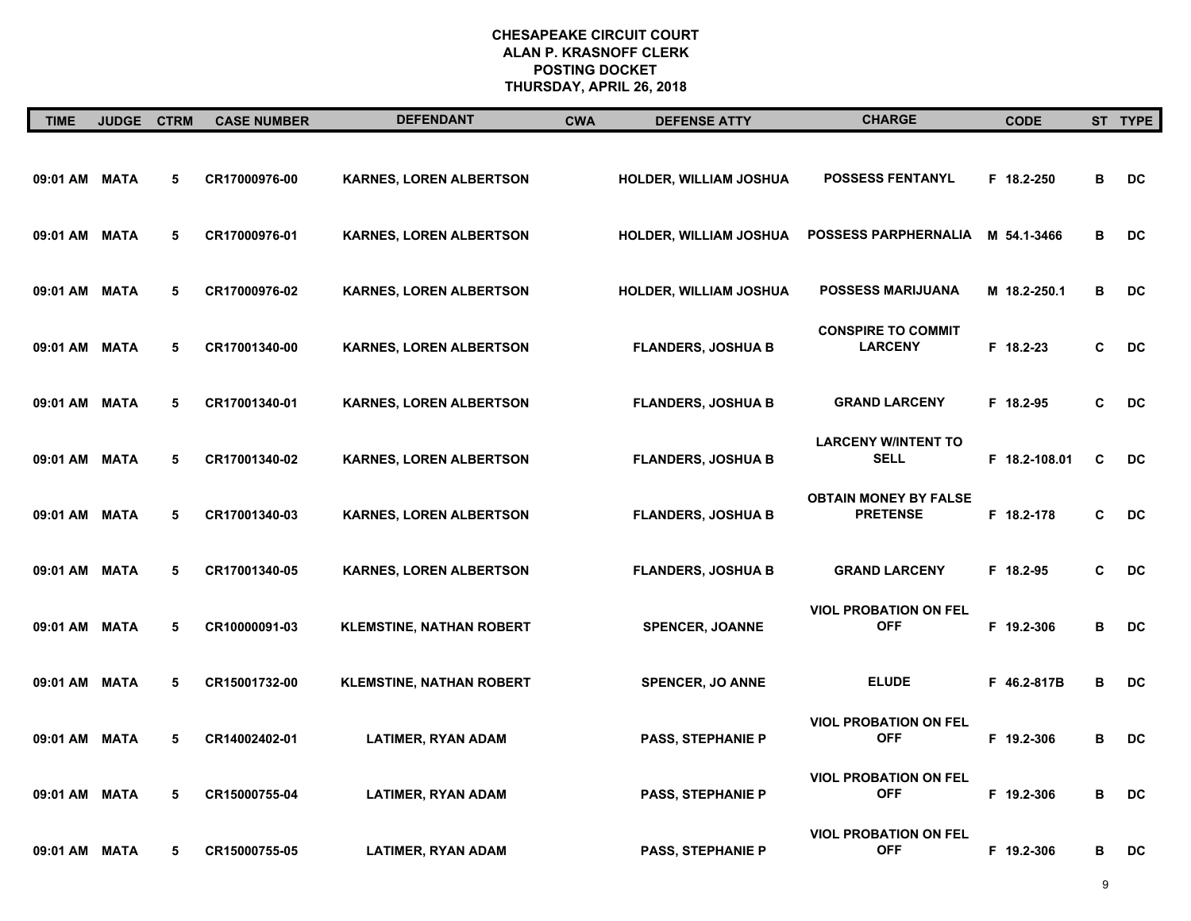| <b>TIME</b>   | <b>JUDGE</b> | <b>CTRM</b> | <b>CASE NUMBER</b> | <b>DEFENDANT</b>                | <b>CWA</b> | <b>DEFENSE ATTY</b>           | <b>CHARGE</b>                                   | <b>CODE</b>   |   | ST TYPE   |
|---------------|--------------|-------------|--------------------|---------------------------------|------------|-------------------------------|-------------------------------------------------|---------------|---|-----------|
| 09:01 AM MATA |              | 5           | CR17000976-00      | <b>KARNES, LOREN ALBERTSON</b>  |            | HOLDER, WILLIAM JOSHUA        | <b>POSSESS FENTANYL</b>                         | F 18.2-250    | в | DC        |
| 09:01 AM MATA |              | 5           | CR17000976-01      | <b>KARNES, LOREN ALBERTSON</b>  |            | HOLDER, WILLIAM JOSHUA        | <b>POSSESS PARPHERNALIA</b>                     | M 54.1-3466   | В | <b>DC</b> |
| 09:01 AM MATA |              | 5           | CR17000976-02      | <b>KARNES, LOREN ALBERTSON</b>  |            | <b>HOLDER, WILLIAM JOSHUA</b> | <b>POSSESS MARIJUANA</b>                        | M 18.2-250.1  | B | <b>DC</b> |
| 09:01 AM MATA |              | 5           | CR17001340-00      | <b>KARNES, LOREN ALBERTSON</b>  |            | <b>FLANDERS, JOSHUA B</b>     | <b>CONSPIRE TO COMMIT</b><br><b>LARCENY</b>     | F 18.2-23     | C | DC        |
| 09:01 AM MATA |              | 5           | CR17001340-01      | <b>KARNES, LOREN ALBERTSON</b>  |            | <b>FLANDERS, JOSHUA B</b>     | <b>GRAND LARCENY</b>                            | F 18.2-95     | C | DC        |
| 09:01 AM MATA |              | 5           | CR17001340-02      | <b>KARNES, LOREN ALBERTSON</b>  |            | <b>FLANDERS, JOSHUA B</b>     | <b>LARCENY W/INTENT TO</b><br><b>SELL</b>       | F 18.2-108.01 | C | <b>DC</b> |
| 09:01 AM MATA |              | 5           | CR17001340-03      | KARNES, LOREN ALBERTSON         |            | <b>FLANDERS, JOSHUA B</b>     | <b>OBTAIN MONEY BY FALSE</b><br><b>PRETENSE</b> | F 18.2-178    | C | DC        |
| 09:01 AM MATA |              | 5           | CR17001340-05      | <b>KARNES, LOREN ALBERTSON</b>  |            | <b>FLANDERS, JOSHUA B</b>     | <b>GRAND LARCENY</b>                            | F 18.2-95     | C | <b>DC</b> |
| 09:01 AM MATA |              | 5           | CR10000091-03      | <b>KLEMSTINE, NATHAN ROBERT</b> |            | <b>SPENCER, JOANNE</b>        | <b>VIOL PROBATION ON FEL</b><br><b>OFF</b>      | F 19.2-306    | в | DC        |
| 09:01 AM MATA |              | 5           | CR15001732-00      | <b>KLEMSTINE, NATHAN ROBERT</b> |            | <b>SPENCER, JO ANNE</b>       | <b>ELUDE</b>                                    | F 46.2-817B   | в | <b>DC</b> |
| 09:01 AM MATA |              | 5           | CR14002402-01      | <b>LATIMER, RYAN ADAM</b>       |            | <b>PASS, STEPHANIE P</b>      | <b>VIOL PROBATION ON FEL</b><br><b>OFF</b>      | F 19.2-306    | в | DC        |
| 09:01 AM MATA |              | 5           | CR15000755-04      | <b>LATIMER, RYAN ADAM</b>       |            | PASS, STEPHANIE P             | <b>VIOL PROBATION ON FEL</b><br><b>OFF</b>      | F 19.2-306    | в | DC        |
| 09:01 AM MATA |              | 5           | CR15000755-05      | <b>LATIMER, RYAN ADAM</b>       |            | <b>PASS, STEPHANIE P</b>      | <b>VIOL PROBATION ON FEL</b><br><b>OFF</b>      | F 19.2-306    | в | DC        |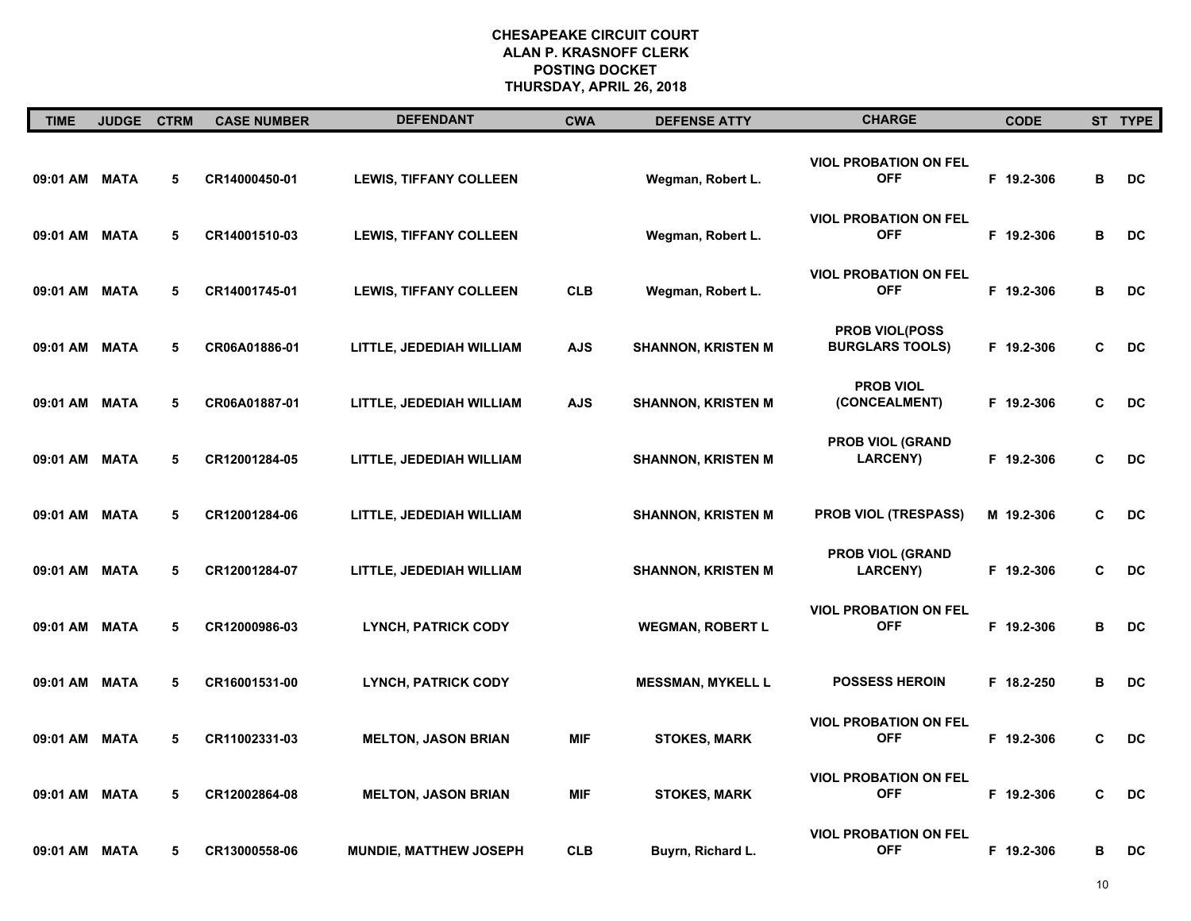| <b>TIME</b>   | <b>JUDGE</b> | <b>CTRM</b> | <b>CASE NUMBER</b> | <b>DEFENDANT</b>              | <b>CWA</b> | <b>DEFENSE ATTY</b>       | <b>CHARGE</b>                                   | <b>CODE</b> |   | ST TYPE   |
|---------------|--------------|-------------|--------------------|-------------------------------|------------|---------------------------|-------------------------------------------------|-------------|---|-----------|
| 09:01 AM MATA |              | 5           | CR14000450-01      | <b>LEWIS, TIFFANY COLLEEN</b> |            | Wegman, Robert L.         | <b>VIOL PROBATION ON FEL</b><br><b>OFF</b>      | F 19.2-306  | В | <b>DC</b> |
| 09:01 AM MATA |              | 5           | CR14001510-03      | <b>LEWIS, TIFFANY COLLEEN</b> |            | Wegman, Robert L.         | <b>VIOL PROBATION ON FEL</b><br><b>OFF</b>      | F 19.2-306  | В | DC        |
| 09:01 AM MATA |              | 5           | CR14001745-01      | <b>LEWIS, TIFFANY COLLEEN</b> | <b>CLB</b> | Wegman, Robert L.         | <b>VIOL PROBATION ON FEL</b><br><b>OFF</b>      | F 19.2-306  | В | DC        |
| 09:01 AM MATA |              | 5           | CR06A01886-01      | LITTLE, JEDEDIAH WILLIAM      | <b>AJS</b> | <b>SHANNON, KRISTEN M</b> | <b>PROB VIOL(POSS</b><br><b>BURGLARS TOOLS)</b> | F 19.2-306  | C | <b>DC</b> |
| 09:01 AM MATA |              | 5           | CR06A01887-01      | LITTLE, JEDEDIAH WILLIAM      | <b>AJS</b> | <b>SHANNON, KRISTEN M</b> | <b>PROB VIOL</b><br>(CONCEALMENT)               | F 19.2-306  | C | DC        |
| 09:01 AM MATA |              | 5           | CR12001284-05      | LITTLE, JEDEDIAH WILLIAM      |            | <b>SHANNON, KRISTEN M</b> | <b>PROB VIOL (GRAND</b><br><b>LARCENY</b> )     | F 19.2-306  | C | DC        |
| 09:01 AM MATA |              | 5           | CR12001284-06      | LITTLE, JEDEDIAH WILLIAM      |            | <b>SHANNON, KRISTEN M</b> | PROB VIOL (TRESPASS)                            | M 19.2-306  | C | DC        |
| 09:01 AM      | MATA         | 5           | CR12001284-07      | LITTLE, JEDEDIAH WILLIAM      |            | <b>SHANNON, KRISTEN M</b> | <b>PROB VIOL (GRAND</b><br><b>LARCENY)</b>      | F 19.2-306  | C | DC        |
| 09:01 AM MATA |              | 5           | CR12000986-03      | <b>LYNCH, PATRICK CODY</b>    |            | <b>WEGMAN, ROBERT L</b>   | <b>VIOL PROBATION ON FEL</b><br><b>OFF</b>      | F 19.2-306  | В | DC        |
| 09:01 AM MATA |              | 5           | CR16001531-00      | <b>LYNCH, PATRICK CODY</b>    |            | <b>MESSMAN, MYKELL L</b>  | <b>POSSESS HEROIN</b>                           | F 18.2-250  | в | DC        |
| 09:01 AM MATA |              | 5           | CR11002331-03      | <b>MELTON, JASON BRIAN</b>    | <b>MIF</b> | <b>STOKES, MARK</b>       | <b>VIOL PROBATION ON FEL</b><br><b>OFF</b>      | F 19.2-306  | C | DC        |
| 09:01 AM      | <b>MATA</b>  | 5           | CR12002864-08      | <b>MELTON, JASON BRIAN</b>    | <b>MIF</b> | <b>STOKES, MARK</b>       | <b>VIOL PROBATION ON FEL</b><br><b>OFF</b>      | F 19.2-306  | C | <b>DC</b> |
| 09:01 AM MATA |              | 5           | CR13000558-06      | MUNDIE, MATTHEW JOSEPH        | <b>CLB</b> | Buyrn, Richard L.         | <b>VIOL PROBATION ON FEL</b><br><b>OFF</b>      | F 19.2-306  | В | DC        |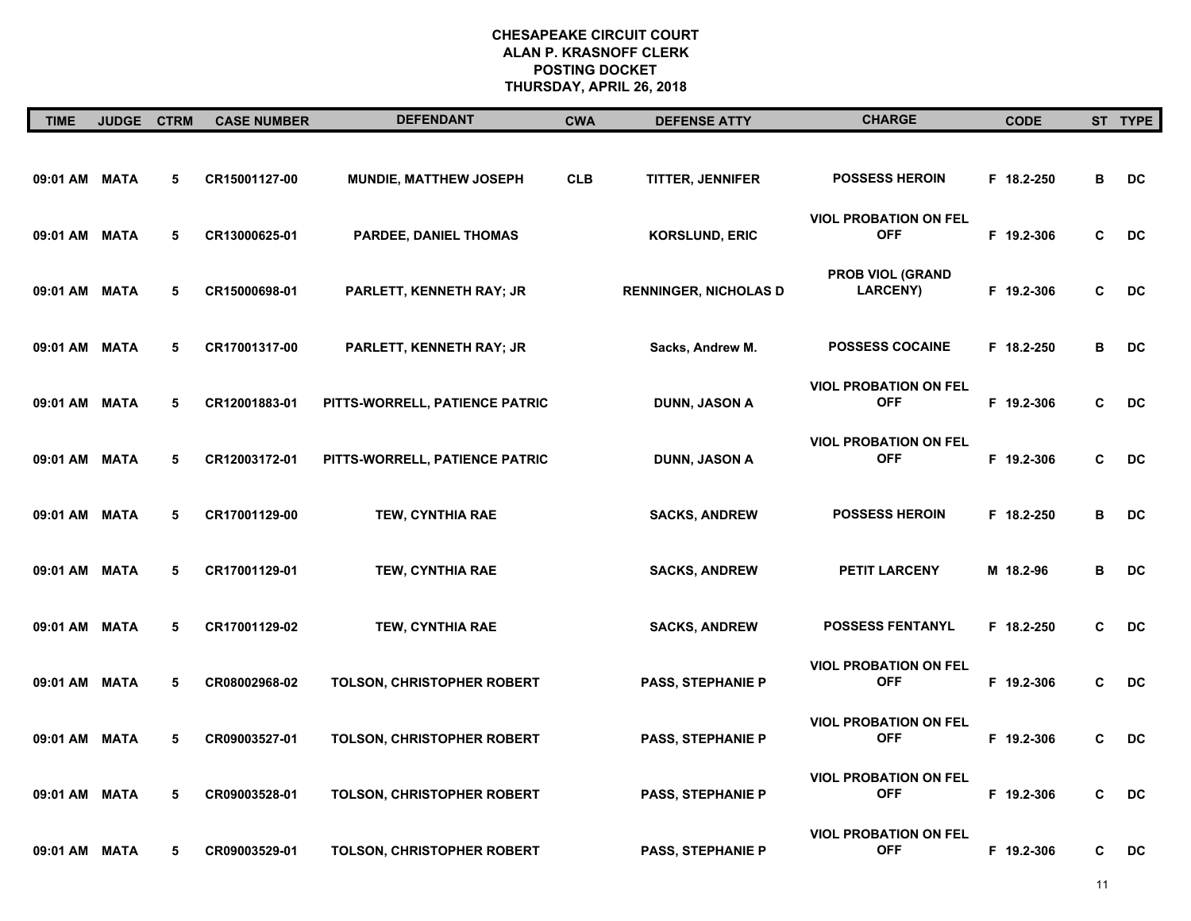| <b>TIME</b>   | <b>JUDGE</b> | <b>CTRM</b> | <b>CASE NUMBER</b> | <b>DEFENDANT</b>                  | <b>CWA</b> | <b>DEFENSE ATTY</b>          | <b>CHARGE</b>                              | <b>CODE</b> |   | ST TYPE   |
|---------------|--------------|-------------|--------------------|-----------------------------------|------------|------------------------------|--------------------------------------------|-------------|---|-----------|
| 09:01 AM MATA |              | 5           | CR15001127-00      | MUNDIE, MATTHEW JOSEPH            | <b>CLB</b> | <b>TITTER, JENNIFER</b>      | <b>POSSESS HEROIN</b>                      | F 18.2-250  | В | DC        |
| 09:01 AM      | <b>MATA</b>  | 5           | CR13000625-01      | PARDEE, DANIEL THOMAS             |            | <b>KORSLUND, ERIC</b>        | <b>VIOL PROBATION ON FEL</b><br><b>OFF</b> | F 19.2-306  | C | DC        |
| 09:01 AM      | <b>MATA</b>  | 5           | CR15000698-01      | PARLETT, KENNETH RAY; JR          |            | <b>RENNINGER, NICHOLAS D</b> | <b>PROB VIOL (GRAND</b><br><b>LARCENY)</b> | F 19.2-306  | C | DC        |
| 09:01 AM      | <b>MATA</b>  | 5           | CR17001317-00      | PARLETT, KENNETH RAY; JR          |            | Sacks, Andrew M.             | <b>POSSESS COCAINE</b>                     | F 18.2-250  | В | DC        |
| 09:01 AM      | MATA         | 5           | CR12001883-01      | PITTS-WORRELL, PATIENCE PATRIC    |            | DUNN, JASON A                | <b>VIOL PROBATION ON FEL</b><br><b>OFF</b> | F 19.2-306  | C | DC        |
| 09:01 AM      | <b>MATA</b>  | 5           | CR12003172-01      | PITTS-WORRELL, PATIENCE PATRIC    |            | DUNN, JASON A                | <b>VIOL PROBATION ON FEL</b><br><b>OFF</b> | F 19.2-306  | C | DC        |
| 09:01 AM      | <b>MATA</b>  | 5           | CR17001129-00      | TEW, CYNTHIA RAE                  |            | <b>SACKS, ANDREW</b>         | <b>POSSESS HEROIN</b>                      | F 18.2-250  | в | DC        |
| 09:01 AM      | <b>MATA</b>  | 5           | CR17001129-01      | <b>TEW, CYNTHIA RAE</b>           |            | <b>SACKS, ANDREW</b>         | <b>PETIT LARCENY</b>                       | M 18.2-96   | в | <b>DC</b> |
| 09:01 AM MATA |              | 5           | CR17001129-02      | <b>TEW, CYNTHIA RAE</b>           |            | <b>SACKS, ANDREW</b>         | <b>POSSESS FENTANYL</b>                    | F 18.2-250  | C | DC        |
| 09:01 AM MATA |              | 5           | CR08002968-02      | <b>TOLSON, CHRISTOPHER ROBERT</b> |            | <b>PASS, STEPHANIE P</b>     | <b>VIOL PROBATION ON FEL</b><br><b>OFF</b> | F 19.2-306  | C | <b>DC</b> |
| 09:01 AM MATA |              | 5           | CR09003527-01      | TOLSON, CHRISTOPHER ROBERT        |            | <b>PASS, STEPHANIE P</b>     | <b>VIOL PROBATION ON FEL</b><br><b>OFF</b> | F 19.2-306  | C | DC        |
| 09:01 AM      | MATA         | 5           | CR09003528-01      | TOLSON, CHRISTOPHER ROBERT        |            | <b>PASS, STEPHANIE P</b>     | <b>VIOL PROBATION ON FEL</b><br><b>OFF</b> | F 19.2-306  | C | DC        |
| 09:01 AM MATA |              | 5           | CR09003529-01      | TOLSON, CHRISTOPHER ROBERT        |            | <b>PASS, STEPHANIE P</b>     | <b>VIOL PROBATION ON FEL</b><br><b>OFF</b> | F 19.2-306  | C | DC        |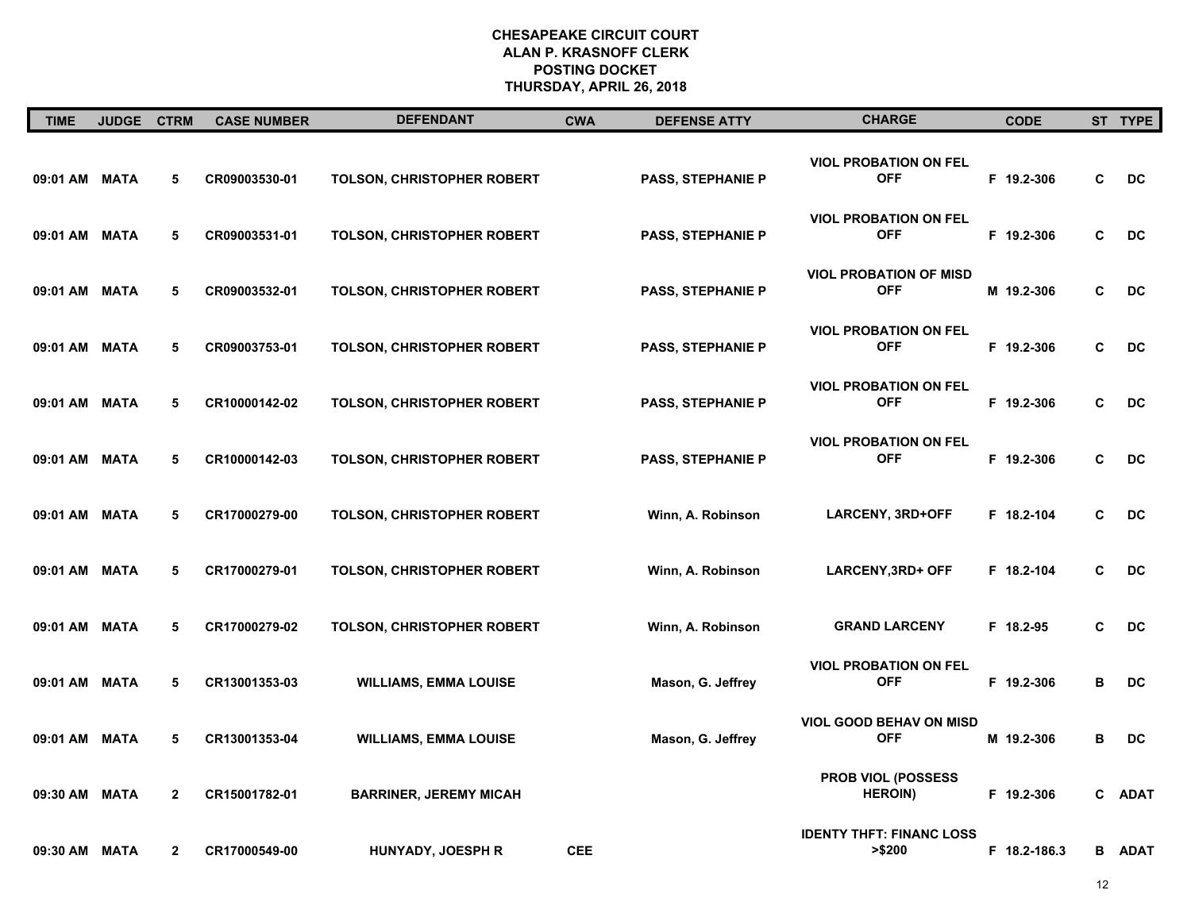| <b>TIME</b>   | JUDGE CTRM  |              | <b>CASE NUMBER</b> | <b>DEFENDANT</b>                  | <b>CWA</b> | <b>DEFENSE ATTY</b>      | <b>CHARGE</b>                                | <b>CODE</b>  |   | ST TYPE       |
|---------------|-------------|--------------|--------------------|-----------------------------------|------------|--------------------------|----------------------------------------------|--------------|---|---------------|
| 09:01 AM MATA |             | 5            | CR09003530-01      | TOLSON, CHRISTOPHER ROBERT        |            | <b>PASS, STEPHANIE P</b> | <b>VIOL PROBATION ON FEL</b><br><b>OFF</b>   | F 19.2-306   | C | DC            |
| 09:01 AM MATA |             | 5            | CR09003531-01      | TOLSON, CHRISTOPHER ROBERT        |            | <b>PASS, STEPHANIE P</b> | <b>VIOL PROBATION ON FEL</b><br><b>OFF</b>   | F 19.2-306   | C | DC            |
| 09:01 AM MATA |             | 5            | CR09003532-01      | TOLSON, CHRISTOPHER ROBERT        |            | <b>PASS, STEPHANIE P</b> | <b>VIOL PROBATION OF MISD</b><br><b>OFF</b>  | M 19.2-306   | C | DC            |
| 09:01 AM MATA |             | 5            | CR09003753-01      | <b>TOLSON, CHRISTOPHER ROBERT</b> |            | <b>PASS, STEPHANIE P</b> | <b>VIOL PROBATION ON FEL</b><br><b>OFF</b>   | F 19.2-306   | C | <b>DC</b>     |
| 09:01 AM MATA |             | 5            | CR10000142-02      | TOLSON, CHRISTOPHER ROBERT        |            | <b>PASS, STEPHANIE P</b> | <b>VIOL PROBATION ON FEL</b><br><b>OFF</b>   | F 19.2-306   | C | DC            |
| 09:01 AM MATA |             | 5            | CR10000142-03      | TOLSON, CHRISTOPHER ROBERT        |            | <b>PASS, STEPHANIE P</b> | <b>VIOL PROBATION ON FEL</b><br><b>OFF</b>   | F 19.2-306   | C | DC            |
| 09:01 AM MATA |             | 5            | CR17000279-00      | TOLSON, CHRISTOPHER ROBERT        |            | Winn, A. Robinson        | LARCENY, 3RD+OFF                             | F 18.2-104   | C | DC            |
| 09:01 AM      | <b>MATA</b> | 5            | CR17000279-01      | TOLSON, CHRISTOPHER ROBERT        |            | Winn, A. Robinson        | LARCENY, 3RD+ OFF                            | F 18.2-104   | C | DC            |
| 09:01 AM MATA |             | 5            | CR17000279-02      | <b>TOLSON, CHRISTOPHER ROBERT</b> |            | Winn, A. Robinson        | <b>GRAND LARCENY</b>                         | F 18.2-95    | C | DC            |
| 09:01 AM MATA |             | 5            | CR13001353-03      | <b>WILLIAMS, EMMA LOUISE</b>      |            | Mason, G. Jeffrey        | <b>VIOL PROBATION ON FEL</b><br><b>OFF</b>   | F 19.2-306   | в | DC            |
| 09:01 AM MATA |             | 5            | CR13001353-04      | <b>WILLIAMS, EMMA LOUISE</b>      |            | Mason, G. Jeffrey        | <b>VIOL GOOD BEHAV ON MISD</b><br><b>OFF</b> | M 19.2-306   | в | DC            |
| 09:30 AM MATA |             | $\mathbf{2}$ | CR15001782-01      | <b>BARRINER, JEREMY MICAH</b>     |            |                          | <b>PROB VIOL (POSSESS</b><br><b>HEROIN</b> ) | F 19.2-306   |   | C ADAT        |
| 09:30 AM MATA |             | $\mathbf{2}$ | CR17000549-00      | <b>HUNYADY, JOESPH R</b>          | <b>CEE</b> |                          | <b>IDENTY THFT: FINANC LOSS</b><br>>\$200    | F 18.2-186.3 |   | <b>B ADAT</b> |